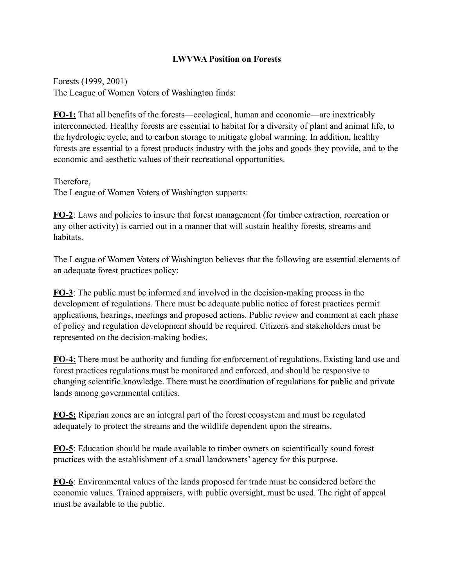## **LWVWA Position on Forests**

Forests (1999, 2001) The League of Women Voters of Washington finds:

**FO-1:** That all benefits of the forests—ecological, human and economic—are inextricably interconnected. Healthy forests are essential to habitat for a diversity of plant and animal life, to the hydrologic cycle, and to carbon storage to mitigate global warming. In addition, healthy forests are essential to a forest products industry with the jobs and goods they provide, and to the economic and aesthetic values of their recreational opportunities.

Therefore,

The League of Women Voters of Washington supports:

**FO-2**: Laws and policies to insure that forest management (for timber extraction, recreation or any other activity) is carried out in a manner that will sustain healthy forests, streams and habitats.

The League of Women Voters of Washington believes that the following are essential elements of an adequate forest practices policy:

**FO-3**: The public must be informed and involved in the decision-making process in the development of regulations. There must be adequate public notice of forest practices permit applications, hearings, meetings and proposed actions. Public review and comment at each phase of policy and regulation development should be required. Citizens and stakeholders must be represented on the decision-making bodies.

**FO-4:** There must be authority and funding for enforcement of regulations. Existing land use and forest practices regulations must be monitored and enforced, and should be responsive to changing scientific knowledge. There must be coordination of regulations for public and private lands among governmental entities.

**FO-5:** Riparian zones are an integral part of the forest ecosystem and must be regulated adequately to protect the streams and the wildlife dependent upon the streams.

**FO-5**: Education should be made available to timber owners on scientifically sound forest practices with the establishment of a small landowners' agency for this purpose.

**FO-6**: Environmental values of the lands proposed for trade must be considered before the economic values. Trained appraisers, with public oversight, must be used. The right of appeal must be available to the public.